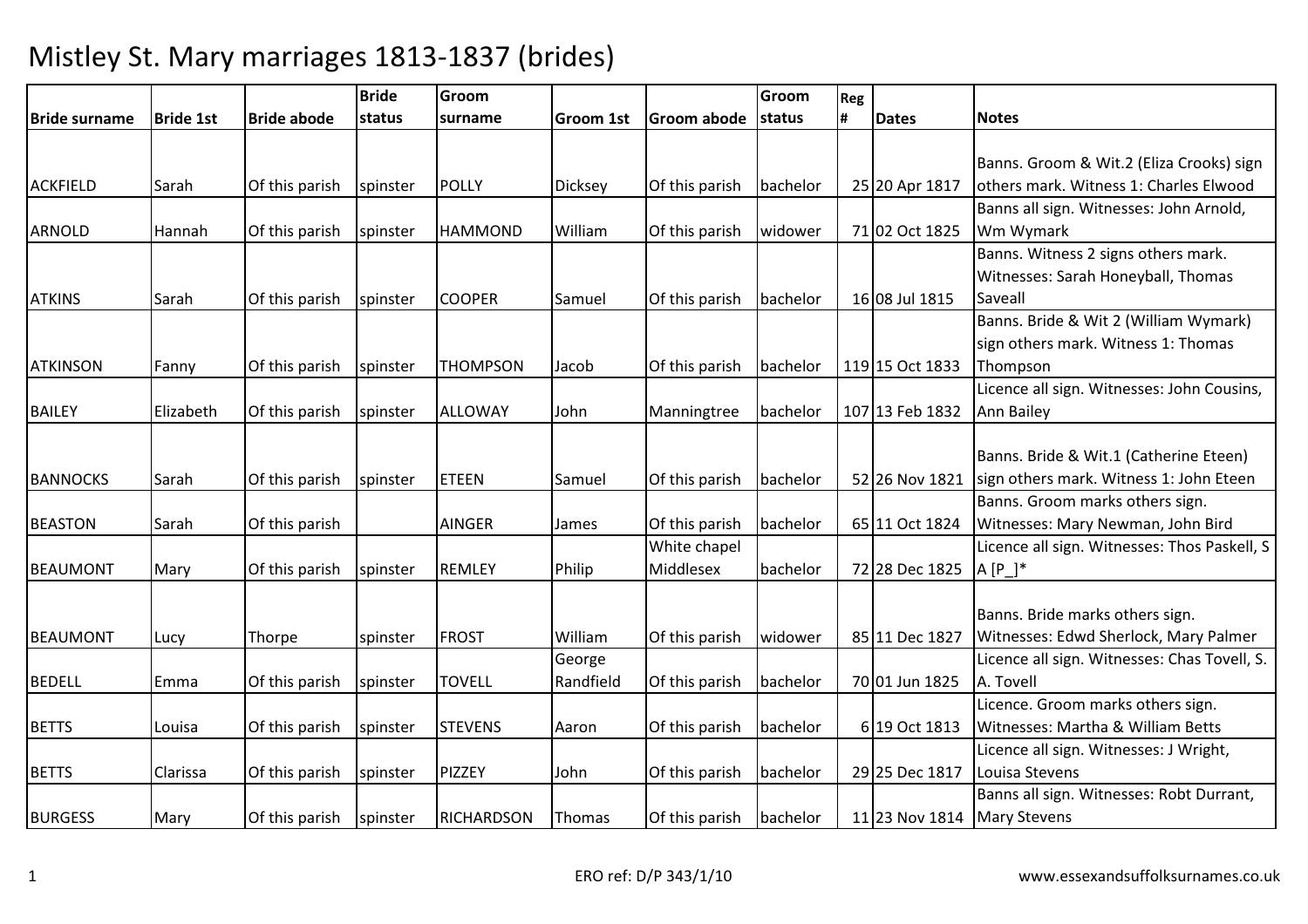|                 |                  |                    | <b>Bride</b> | Groom             |                  |                    | Groom    | Reg |                 |                                              |
|-----------------|------------------|--------------------|--------------|-------------------|------------------|--------------------|----------|-----|-----------------|----------------------------------------------|
| Bride surname   | <b>Bride 1st</b> | <b>Bride abode</b> | status       | surname           | <b>Groom 1st</b> | <b>Groom abode</b> | status   | #   | <b>Dates</b>    | <b>Notes</b>                                 |
|                 |                  |                    |              |                   |                  |                    |          |     |                 |                                              |
|                 |                  |                    |              |                   |                  |                    |          |     |                 | Banns. Groom & Wit.2 (Eliza Crooks) sign     |
| <b>ACKFIELD</b> | Sarah            | Of this parish     | spinster     | <b>POLLY</b>      | <b>Dicksey</b>   | Of this parish     | bachelor |     | 25 20 Apr 1817  | others mark. Witness 1: Charles Elwood       |
|                 |                  |                    |              |                   |                  |                    |          |     |                 | Banns all sign. Witnesses: John Arnold,      |
| <b>ARNOLD</b>   | Hannah           | Of this parish     | spinster     | <b>HAMMOND</b>    | William          | Of this parish     | widower  |     | 71 02 Oct 1825  | Wm Wymark                                    |
|                 |                  |                    |              |                   |                  |                    |          |     |                 | Banns. Witness 2 signs others mark.          |
|                 |                  |                    |              |                   |                  |                    |          |     |                 | Witnesses: Sarah Honeyball, Thomas           |
| <b>ATKINS</b>   | Sarah            | Of this parish     | spinster     | <b>COOPER</b>     | Samuel           | Of this parish     | bachelor |     | 16 08 Jul 1815  | Saveall                                      |
|                 |                  |                    |              |                   |                  |                    |          |     |                 | Banns. Bride & Wit 2 (William Wymark)        |
|                 |                  |                    |              |                   |                  |                    |          |     |                 | sign others mark. Witness 1: Thomas          |
| <b>ATKINSON</b> | Fanny            | Of this parish     | spinster     | <b>THOMPSON</b>   | Jacob            | Of this parish     | bachelor |     | 119 15 Oct 1833 | Thompson                                     |
|                 |                  |                    |              |                   |                  |                    |          |     |                 | Licence all sign. Witnesses: John Cousins,   |
| <b>BAILEY</b>   | Elizabeth        | Of this parish     | spinster     | <b>ALLOWAY</b>    | John             | Manningtree        | bachelor |     | 107 13 Feb 1832 | <b>Ann Bailey</b>                            |
|                 |                  |                    |              |                   |                  |                    |          |     |                 |                                              |
|                 |                  |                    |              |                   |                  |                    |          |     |                 | Banns. Bride & Wit.1 (Catherine Eteen)       |
| <b>BANNOCKS</b> | Sarah            | Of this parish     | spinster     | <b>ETEEN</b>      | Samuel           | Of this parish     | bachelor |     | 52 26 Nov 1821  | sign others mark. Witness 1: John Eteen      |
|                 |                  |                    |              |                   |                  |                    |          |     |                 | Banns. Groom marks others sign.              |
| <b>BEASTON</b>  | Sarah            | Of this parish     |              | <b>AINGER</b>     | James            | Of this parish     | bachelor |     | 65 11 Oct 1824  | Witnesses: Mary Newman, John Bird            |
|                 |                  |                    |              |                   |                  | White chapel       |          |     |                 | Licence all sign. Witnesses: Thos Paskell, S |
| <b>BEAUMONT</b> | Mary             | Of this parish     | spinster     | <b>REMLEY</b>     | Philip           | Middlesex          | bachelor |     | 72 28 Dec 1825  | $A[P_+]^*$                                   |
|                 |                  |                    |              |                   |                  |                    |          |     |                 |                                              |
|                 |                  |                    |              |                   |                  |                    |          |     |                 | Banns. Bride marks others sign.              |
| <b>BEAUMONT</b> | Lucy             | Thorpe             | spinster     | <b>FROST</b>      | William          | Of this parish     | widower  |     | 85 11 Dec 1827  | Witnesses: Edwd Sherlock, Mary Palmer        |
|                 |                  |                    |              |                   | George           |                    |          |     |                 | Licence all sign. Witnesses: Chas Tovell, S. |
| <b>BEDELL</b>   | Emma             | Of this parish     | spinster     | <b>TOVELL</b>     | Randfield        | Of this parish     | bachelor |     | 70 01 Jun 1825  | A. Tovell                                    |
|                 |                  |                    |              |                   |                  |                    |          |     |                 | Licence. Groom marks others sign.            |
| <b>BETTS</b>    | Louisa           | Of this parish     | spinster     | <b>STEVENS</b>    | Aaron            | Of this parish     | bachelor |     | 6 19 Oct 1813   | Witnesses: Martha & William Betts            |
|                 |                  |                    |              |                   |                  |                    |          |     |                 | Licence all sign. Witnesses: J Wright,       |
| <b>BETTS</b>    | Clarissa         | Of this parish     | spinster     | <b>PIZZEY</b>     | John             | Of this parish     | bachelor |     | 29 25 Dec 1817  | Louisa Stevens                               |
|                 |                  |                    |              |                   |                  |                    |          |     |                 | Banns all sign. Witnesses: Robt Durrant,     |
| <b>BURGESS</b>  | Mary             | Of this parish     | spinster     | <b>RICHARDSON</b> | Thomas           | Of this parish     | bachelor |     | 11 23 Nov 1814  | <b>Mary Stevens</b>                          |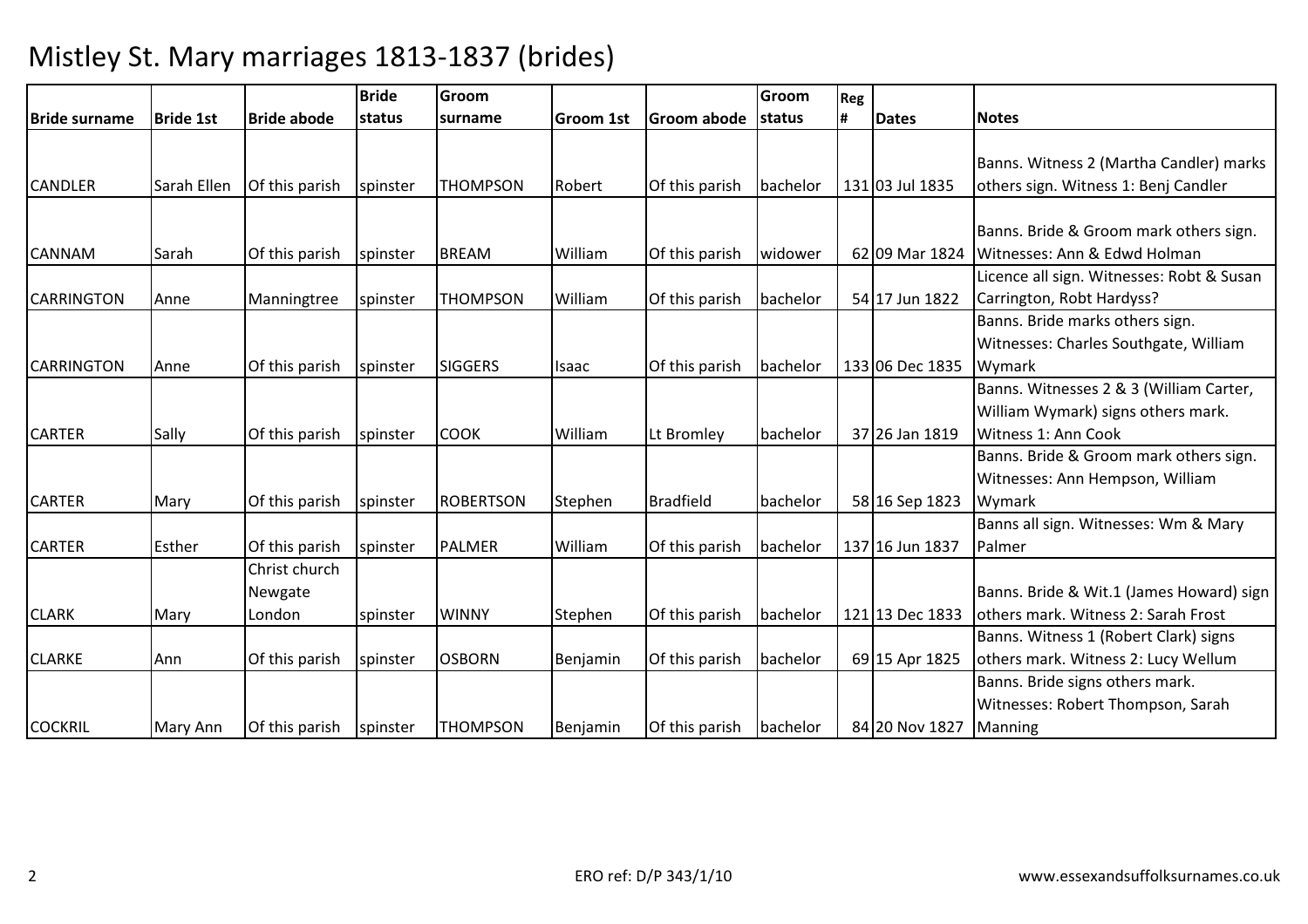|                   |                  |                    | <b>Bride</b> | Groom            |                  |                  | Groom    | Reg |                 |                                           |
|-------------------|------------------|--------------------|--------------|------------------|------------------|------------------|----------|-----|-----------------|-------------------------------------------|
| Bride surname     | <b>Bride 1st</b> | <b>Bride abode</b> | status       | surname          | <b>Groom 1st</b> | Groom abode      | status   | #   | <b>Dates</b>    | <b>Notes</b>                              |
|                   |                  |                    |              |                  |                  |                  |          |     |                 |                                           |
|                   |                  |                    |              |                  |                  |                  |          |     |                 | Banns. Witness 2 (Martha Candler) marks   |
| <b>CANDLER</b>    | Sarah Ellen      | Of this parish     | spinster     | <b>THOMPSON</b>  | Robert           | Of this parish   | bachelor |     | 131 03 Jul 1835 | others sign. Witness 1: Benj Candler      |
|                   |                  |                    |              |                  |                  |                  |          |     |                 |                                           |
|                   |                  |                    |              |                  |                  |                  |          |     |                 | Banns. Bride & Groom mark others sign.    |
| <b>CANNAM</b>     | Sarah            | Of this parish     | spinster     | <b>BREAM</b>     | William          | Of this parish   | widower  |     | 62 09 Mar 1824  | Witnesses: Ann & Edwd Holman              |
|                   |                  |                    |              |                  |                  |                  |          |     |                 | Licence all sign. Witnesses: Robt & Susan |
| <b>CARRINGTON</b> | Anne             | Manningtree        | spinster     | <b>THOMPSON</b>  | William          | Of this parish   | bachelor |     | 54 17 Jun 1822  | Carrington, Robt Hardyss?                 |
|                   |                  |                    |              |                  |                  |                  |          |     |                 | Banns. Bride marks others sign.           |
|                   |                  |                    |              |                  |                  |                  |          |     |                 | Witnesses: Charles Southgate, William     |
| <b>CARRINGTON</b> | Anne             | Of this parish     | spinster     | <b>SIGGERS</b>   | Isaac            | Of this parish   | bachelor |     | 133 06 Dec 1835 | Wymark                                    |
|                   |                  |                    |              |                  |                  |                  |          |     |                 | Banns. Witnesses 2 & 3 (William Carter,   |
|                   |                  |                    |              |                  |                  |                  |          |     |                 | William Wymark) signs others mark.        |
| <b>CARTER</b>     | Sally            | Of this parish     | spinster     | <b>COOK</b>      | William          | Lt Bromley       | bachelor |     | 37 26 Jan 1819  | Witness 1: Ann Cook                       |
|                   |                  |                    |              |                  |                  |                  |          |     |                 | Banns. Bride & Groom mark others sign.    |
|                   |                  |                    |              |                  |                  |                  |          |     |                 | Witnesses: Ann Hempson, William           |
| <b>CARTER</b>     | Mary             | Of this parish     | spinster     | <b>ROBERTSON</b> | Stephen          | <b>Bradfield</b> | bachelor |     | 58 16 Sep 1823  | Wymark                                    |
|                   |                  |                    |              |                  |                  |                  |          |     |                 | Banns all sign. Witnesses: Wm & Mary      |
| <b>CARTER</b>     | Esther           | Of this parish     | spinster     | <b>PALMER</b>    | William          | Of this parish   | bachelor |     | 137 16 Jun 1837 | Palmer                                    |
|                   |                  | Christ church      |              |                  |                  |                  |          |     |                 |                                           |
|                   |                  | Newgate            |              |                  |                  |                  |          |     |                 | Banns. Bride & Wit.1 (James Howard) sign  |
| <b>CLARK</b>      | Mary             | London             | spinster     | <b>WINNY</b>     | Stephen          | Of this parish   | bachelor |     | 121 13 Dec 1833 | others mark. Witness 2: Sarah Frost       |
|                   |                  |                    |              |                  |                  |                  |          |     |                 | Banns. Witness 1 (Robert Clark) signs     |
| <b>CLARKE</b>     | Ann              | Of this parish     | spinster     | <b>OSBORN</b>    | Benjamin         | Of this parish   | bachelor |     | 69 15 Apr 1825  | others mark. Witness 2: Lucy Wellum       |
|                   |                  |                    |              |                  |                  |                  |          |     |                 | Banns. Bride signs others mark.           |
|                   |                  |                    |              |                  |                  |                  |          |     |                 | Witnesses: Robert Thompson, Sarah         |
| <b>COCKRIL</b>    | Mary Ann         | Of this parish     | spinster     | <b>THOMPSON</b>  | Benjamin         | Of this parish   | bachelor |     | 84 20 Nov 1827  | Manning                                   |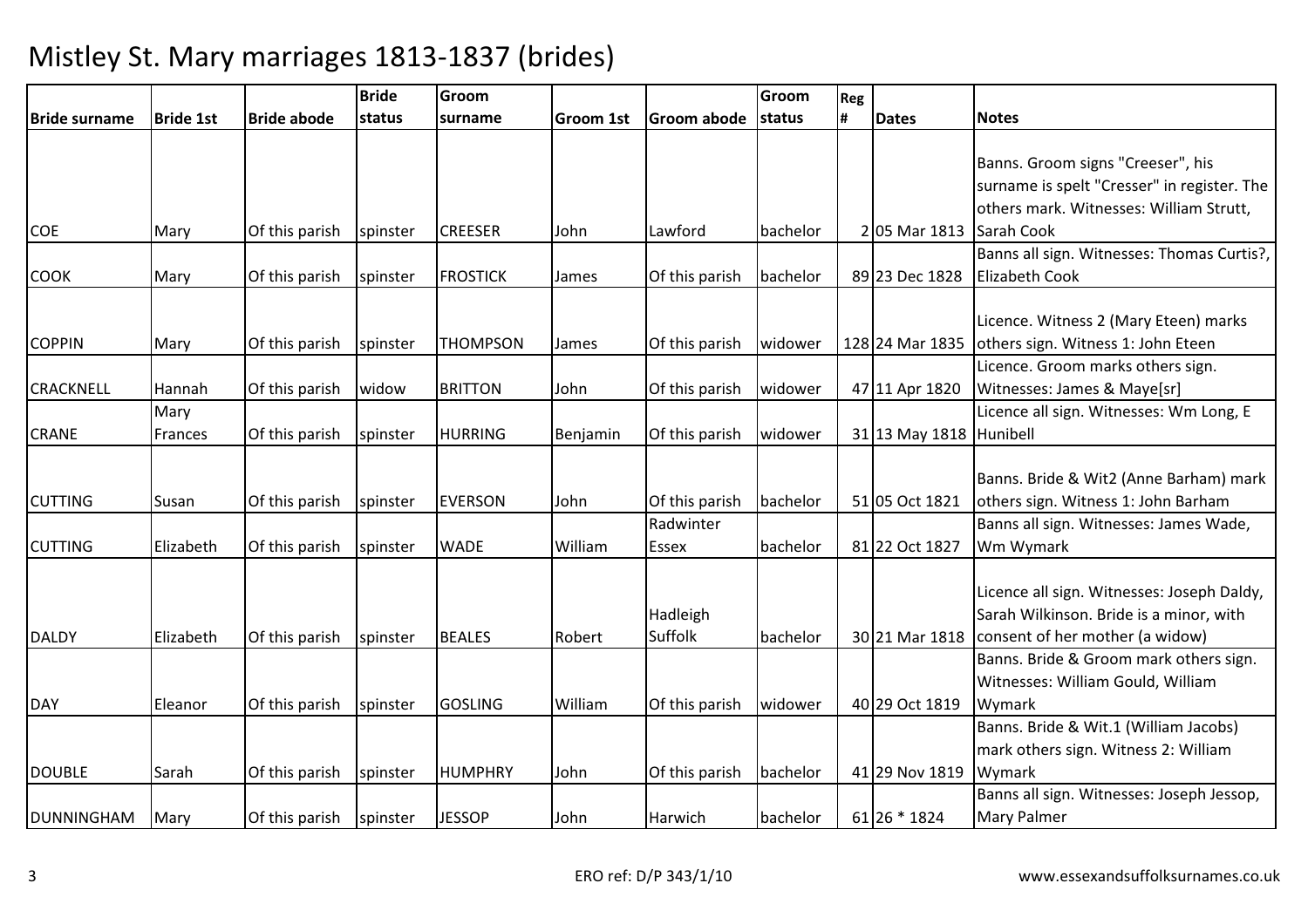|                      |                  |                    | <b>Bride</b>   | Groom           |                  |                             | Groom    | Reg |                 |                                                                                                                                           |
|----------------------|------------------|--------------------|----------------|-----------------|------------------|-----------------------------|----------|-----|-----------------|-------------------------------------------------------------------------------------------------------------------------------------------|
| <b>Bride surname</b> | <b>Bride 1st</b> | <b>Bride abode</b> | <b>Istatus</b> | surname         | <b>Groom 1st</b> | Groom abode                 | status   | Ħ.  | <b>Dates</b>    | <b>Notes</b>                                                                                                                              |
| <b>COE</b>           | Mary             | Of this parish     | spinster       | <b>CREESER</b>  | John             | Lawford                     | bachelor |     | 2 05 Mar 1813   | Banns. Groom signs "Creeser", his<br>surname is spelt "Cresser" in register. The<br>others mark. Witnesses: William Strutt,<br>Sarah Cook |
| <b>COOK</b>          | Mary             | Of this parish     | spinster       | <b>FROSTICK</b> | James            | Of this parish              | bachelor |     | 89 23 Dec 1828  | Banns all sign. Witnesses: Thomas Curtis?,<br><b>Elizabeth Cook</b>                                                                       |
| <b>COPPIN</b>        | Mary             | Of this parish     | spinster       | <b>THOMPSON</b> | James            | Of this parish              | widower  |     | 128 24 Mar 1835 | Licence. Witness 2 (Mary Eteen) marks<br>others sign. Witness 1: John Eteen                                                               |
| <b>CRACKNELL</b>     | Hannah           | Of this parish     | widow          | <b>BRITTON</b>  | John             | Of this parish              | widower  |     | 47 11 Apr 1820  | Licence. Groom marks others sign.<br>Witnesses: James & Maye[sr]                                                                          |
| <b>CRANE</b>         | Mary<br>Frances  | Of this parish     | spinster       | <b>HURRING</b>  | Benjamin         | Of this parish              | widower  |     | 31 13 May 1818  | Licence all sign. Witnesses: Wm Long, E<br>Hunibell                                                                                       |
| <b>CUTTING</b>       | Susan            | Of this parish     | spinster       | <b>EVERSON</b>  | John             | Of this parish<br>Radwinter | bachelor |     | 51 05 Oct 1821  | Banns. Bride & Wit2 (Anne Barham) mark<br>others sign. Witness 1: John Barham<br>Banns all sign. Witnesses: James Wade,                   |
| <b>CUTTING</b>       | Elizabeth        | Of this parish     | spinster       | <b>WADE</b>     | William          | Essex                       | bachelor |     | 81 22 Oct 1827  | Wm Wymark                                                                                                                                 |
| <b>DALDY</b>         | Elizabeth        | Of this parish     | spinster       | <b>BEALES</b>   | Robert           | Hadleigh<br>Suffolk         | bachelor |     | 30 21 Mar 1818  | Licence all sign. Witnesses: Joseph Daldy,<br>Sarah Wilkinson. Bride is a minor, with<br>consent of her mother (a widow)                  |
| <b>DAY</b>           | Eleanor          | Of this parish     | spinster       | <b>GOSLING</b>  | William          | Of this parish              | widower  |     | 40 29 Oct 1819  | Banns. Bride & Groom mark others sign.<br>Witnesses: William Gould, William<br>Wymark                                                     |
| <b>DOUBLE</b>        | Sarah            | Of this parish     | spinster       | <b>HUMPHRY</b>  | John             | Of this parish              | bachelor |     | 41 29 Nov 1819  | Banns. Bride & Wit.1 (William Jacobs)<br>mark others sign. Witness 2: William<br>Wymark                                                   |
| <b>DUNNINGHAM</b>    | Mary             | Of this parish     | spinster       | <b>JESSOP</b>   | John             | Harwich                     | bachelor |     | 61 26 * 1824    | Banns all sign. Witnesses: Joseph Jessop,<br><b>Mary Palmer</b>                                                                           |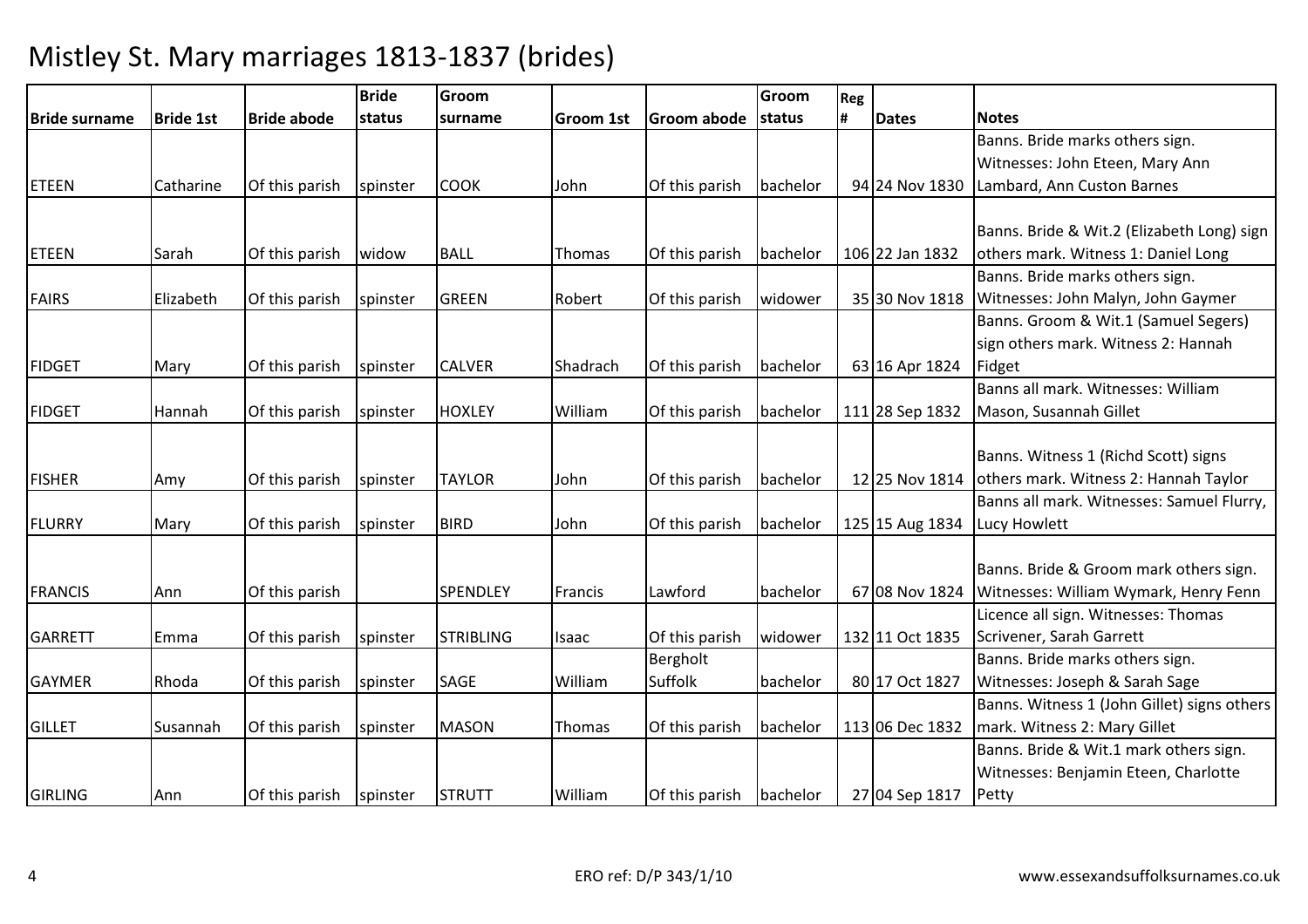|                      |                  |                    | <b>Bride</b> | Groom            |                  |                         | Groom    | Reg |                 |                                             |
|----------------------|------------------|--------------------|--------------|------------------|------------------|-------------------------|----------|-----|-----------------|---------------------------------------------|
| <b>Bride surname</b> | <b>Bride 1st</b> | <b>Bride abode</b> | status       | surname          | <b>Groom 1st</b> | <b>Groom abode</b>      | status   |     | <b>Dates</b>    | <b>Notes</b>                                |
|                      |                  |                    |              |                  |                  |                         |          |     |                 | Banns. Bride marks others sign.             |
|                      |                  |                    |              |                  |                  |                         |          |     |                 | Witnesses: John Eteen, Mary Ann             |
| <b>ETEEN</b>         | Catharine        | Of this parish     | spinster     | <b>COOK</b>      | John             | Of this parish          | bachelor |     | 94 24 Nov 1830  | Lambard, Ann Custon Barnes                  |
|                      |                  |                    |              |                  |                  |                         |          |     |                 |                                             |
|                      |                  |                    |              |                  |                  |                         |          |     |                 | Banns. Bride & Wit.2 (Elizabeth Long) sign  |
| <b>ETEEN</b>         | Sarah            | Of this parish     | widow        | <b>BALL</b>      | Thomas           | Of this parish          | bachelor |     | 106 22 Jan 1832 | others mark. Witness 1: Daniel Long         |
|                      |                  |                    |              |                  |                  |                         |          |     |                 | Banns. Bride marks others sign.             |
| <b>FAIRS</b>         | Elizabeth        | Of this parish     | spinster     | <b>GREEN</b>     | Robert           | Of this parish          | widower  |     | 35 30 Nov 1818  | Witnesses: John Malyn, John Gaymer          |
|                      |                  |                    |              |                  |                  |                         |          |     |                 | Banns. Groom & Wit.1 (Samuel Segers)        |
|                      |                  |                    |              |                  |                  |                         |          |     |                 | sign others mark. Witness 2: Hannah         |
| <b>FIDGET</b>        | Mary             | Of this parish     | spinster     | <b>CALVER</b>    | Shadrach         | Of this parish          | bachelor |     | 63 16 Apr 1824  | Fidget                                      |
|                      |                  |                    |              |                  |                  |                         |          |     |                 | Banns all mark. Witnesses: William          |
| <b>FIDGET</b>        | Hannah           | Of this parish     | spinster     | <b>HOXLEY</b>    | William          | Of this parish          | bachelor |     | 111 28 Sep 1832 | Mason, Susannah Gillet                      |
|                      |                  |                    |              |                  |                  |                         |          |     |                 |                                             |
|                      |                  |                    |              |                  |                  |                         |          |     |                 | Banns. Witness 1 (Richd Scott) signs        |
| <b>FISHER</b>        | Amy              | Of this parish     | spinster     | <b>TAYLOR</b>    | John             | Of this parish          | bachelor |     | 12 25 Nov 1814  | others mark. Witness 2: Hannah Taylor       |
|                      |                  |                    |              |                  |                  |                         |          |     |                 | Banns all mark. Witnesses: Samuel Flurry,   |
| <b>FLURRY</b>        | Mary             | Of this parish     | spinster     | <b>BIRD</b>      | John             | Of this parish          | bachelor |     | 125 15 Aug 1834 | Lucy Howlett                                |
|                      |                  |                    |              |                  |                  |                         |          |     |                 |                                             |
|                      |                  |                    |              |                  |                  |                         |          |     |                 | Banns. Bride & Groom mark others sign.      |
| <b>FRANCIS</b>       | Ann              | Of this parish     |              | <b>SPENDLEY</b>  | Francis          | Lawford                 | bachelor |     | 67 08 Nov 1824  | Witnesses: William Wymark, Henry Fenn       |
|                      |                  |                    |              |                  |                  |                         |          |     |                 | Licence all sign. Witnesses: Thomas         |
| <b>GARRETT</b>       | Emma             | Of this parish     | spinster     | <b>STRIBLING</b> | Isaac            | Of this parish          | widower  |     | 132 11 Oct 1835 | Scrivener, Sarah Garrett                    |
|                      |                  |                    |              |                  |                  | Bergholt                |          |     |                 | Banns. Bride marks others sign.             |
| <b>GAYMER</b>        | Rhoda            | Of this parish     | spinster     | <b>SAGE</b>      | William          | Suffolk                 | bachelor |     | 80 17 Oct 1827  | Witnesses: Joseph & Sarah Sage              |
|                      |                  |                    |              |                  |                  |                         |          |     |                 | Banns. Witness 1 (John Gillet) signs others |
| <b>GILLET</b>        | Susannah         | Of this parish     | spinster     | <b>MASON</b>     | Thomas           | Of this parish          | bachelor |     | 113 06 Dec 1832 | mark. Witness 2: Mary Gillet                |
|                      |                  |                    |              |                  |                  |                         |          |     |                 | Banns. Bride & Wit.1 mark others sign.      |
|                      |                  |                    |              |                  |                  |                         |          |     |                 | Witnesses: Benjamin Eteen, Charlotte        |
| <b>GIRLING</b>       | Ann              | Of this parish     | spinster     | <b>STRUTT</b>    | William          | Of this parish bachelor |          |     | 27 04 Sep 1817  | Petty                                       |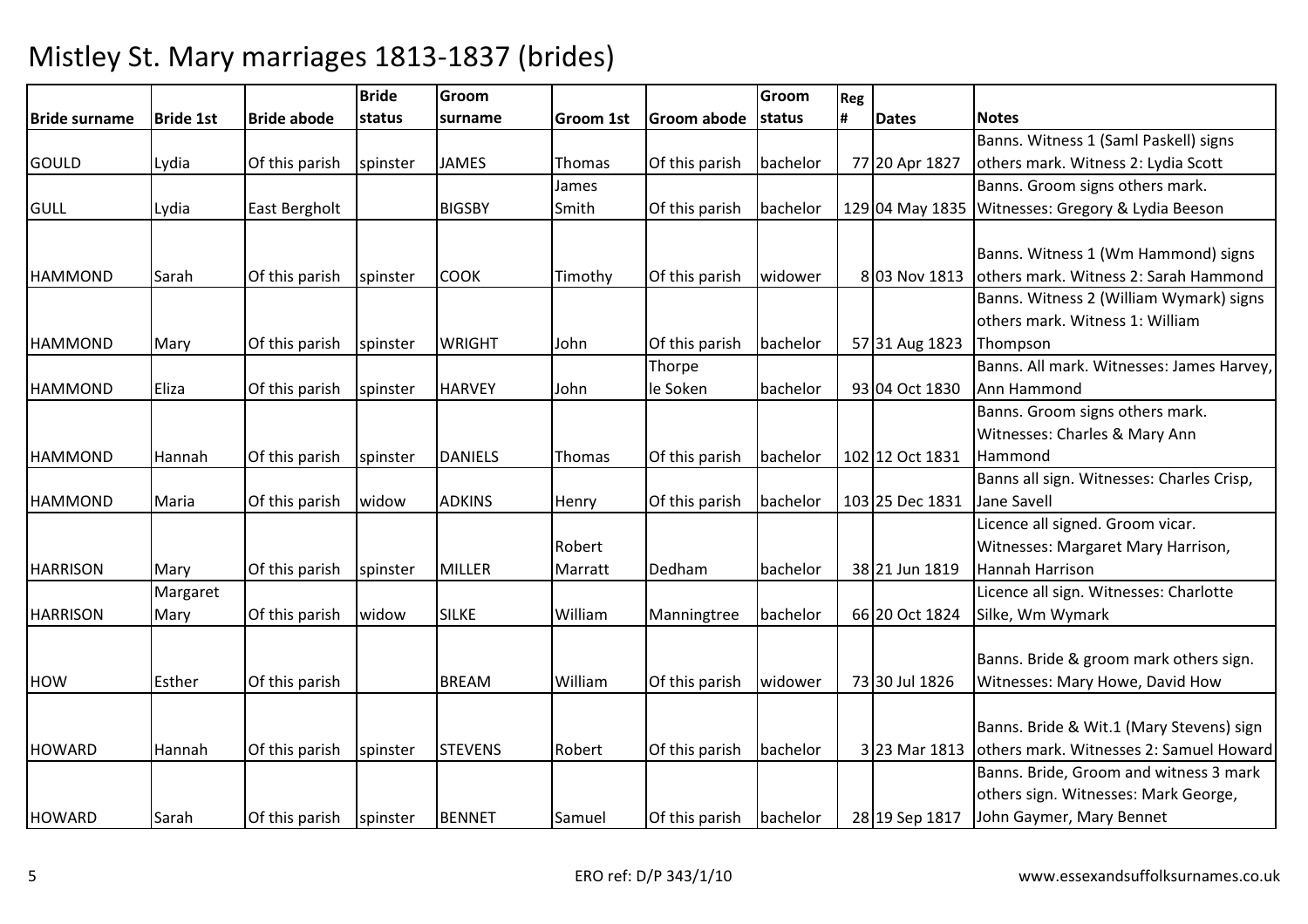|                 |                  |                    | <b>Bride</b> | Groom          |                  |                         | Groom    | Reg |                 |                                           |
|-----------------|------------------|--------------------|--------------|----------------|------------------|-------------------------|----------|-----|-----------------|-------------------------------------------|
| Bride surname   | <b>Bride 1st</b> | <b>Bride abode</b> | status       | surname        | <b>Groom 1st</b> | <b>Groom abode</b>      | status   | #   | <b>Dates</b>    | <b>Notes</b>                              |
|                 |                  |                    |              |                |                  |                         |          |     |                 | Banns. Witness 1 (Saml Paskell) signs     |
| GOULD           | Lydia            | Of this parish     | spinster     | <b>JAMES</b>   | Thomas           | Of this parish          | bachelor |     | 77 20 Apr 1827  | others mark. Witness 2: Lydia Scott       |
|                 |                  |                    |              |                | James            |                         |          |     |                 | Banns. Groom signs others mark.           |
| <b>GULL</b>     | Lydia            | East Bergholt      |              | <b>BIGSBY</b>  | Smith            | Of this parish          | bachelor |     | 129 04 May 1835 | Witnesses: Gregory & Lydia Beeson         |
|                 |                  |                    |              |                |                  |                         |          |     |                 |                                           |
|                 |                  |                    |              |                |                  |                         |          |     |                 | Banns. Witness 1 (Wm Hammond) signs       |
| <b>HAMMOND</b>  | Sarah            | Of this parish     | spinster     | <b>COOK</b>    | Timothy          | Of this parish          | widower  |     | 8 03 Nov 1813   | others mark. Witness 2: Sarah Hammond     |
|                 |                  |                    |              |                |                  |                         |          |     |                 | Banns. Witness 2 (William Wymark) signs   |
|                 |                  |                    |              |                |                  |                         |          |     |                 | others mark. Witness 1: William           |
| <b>HAMMOND</b>  | Mary             | Of this parish     | spinster     | <b>WRIGHT</b>  | John             | Of this parish          | bachelor |     | 57 31 Aug 1823  | Thompson                                  |
|                 |                  |                    |              |                |                  | Thorpe                  |          |     |                 | Banns. All mark. Witnesses: James Harvey, |
| <b>HAMMOND</b>  | Eliza            | Of this parish     | spinster     | <b>HARVEY</b>  | John             | le Soken                | bachelor |     | 93 04 Oct 1830  | Ann Hammond                               |
|                 |                  |                    |              |                |                  |                         |          |     |                 | Banns. Groom signs others mark.           |
|                 |                  |                    |              |                |                  |                         |          |     |                 | Witnesses: Charles & Mary Ann             |
| <b>HAMMOND</b>  | Hannah           | Of this parish     | spinster     | <b>DANIELS</b> | Thomas           | Of this parish          | bachelor |     | 102 12 Oct 1831 | Hammond                                   |
|                 |                  |                    |              |                |                  |                         |          |     |                 | Banns all sign. Witnesses: Charles Crisp, |
| <b>HAMMOND</b>  | Maria            | Of this parish     | widow        | <b>ADKINS</b>  | Henry            | Of this parish          | bachelor |     | 103 25 Dec 1831 | Jane Savell                               |
|                 |                  |                    |              |                |                  |                         |          |     |                 | Licence all signed. Groom vicar.          |
|                 |                  |                    |              |                | Robert           |                         |          |     |                 | Witnesses: Margaret Mary Harrison,        |
| <b>HARRISON</b> | Mary             | Of this parish     | spinster     | <b>MILLER</b>  | Marratt          | Dedham                  | bachelor |     | 38 21 Jun 1819  | <b>Hannah Harrison</b>                    |
|                 | Margaret         |                    |              |                |                  |                         |          |     |                 | Licence all sign. Witnesses: Charlotte    |
| <b>HARRISON</b> | Mary             | Of this parish     | widow        | <b>SILKE</b>   | William          | Manningtree             | bachelor |     | 66 20 Oct 1824  | Silke, Wm Wymark                          |
|                 |                  |                    |              |                |                  |                         |          |     |                 |                                           |
|                 |                  |                    |              |                |                  |                         |          |     |                 | Banns. Bride & groom mark others sign.    |
| <b>HOW</b>      | Esther           | Of this parish     |              | <b>BREAM</b>   | William          | Of this parish          | widower  |     | 73 30 Jul 1826  | Witnesses: Mary Howe, David How           |
|                 |                  |                    |              |                |                  |                         |          |     |                 |                                           |
|                 |                  |                    |              |                |                  |                         |          |     |                 | Banns. Bride & Wit.1 (Mary Stevens) sign  |
| <b>HOWARD</b>   | Hannah           | Of this parish     | spinster     | <b>STEVENS</b> | Robert           | Of this parish          | bachelor |     | 3 23 Mar 1813   | others mark. Witnesses 2: Samuel Howard   |
|                 |                  |                    |              |                |                  |                         |          |     |                 | Banns. Bride, Groom and witness 3 mark    |
|                 |                  |                    |              |                |                  |                         |          |     |                 | others sign. Witnesses: Mark George,      |
| <b>HOWARD</b>   | Sarah            | Of this parish     | spinster     | <b>BENNET</b>  | Samuel           | Of this parish bachelor |          |     | 28 19 Sep 1817  | John Gaymer, Mary Bennet                  |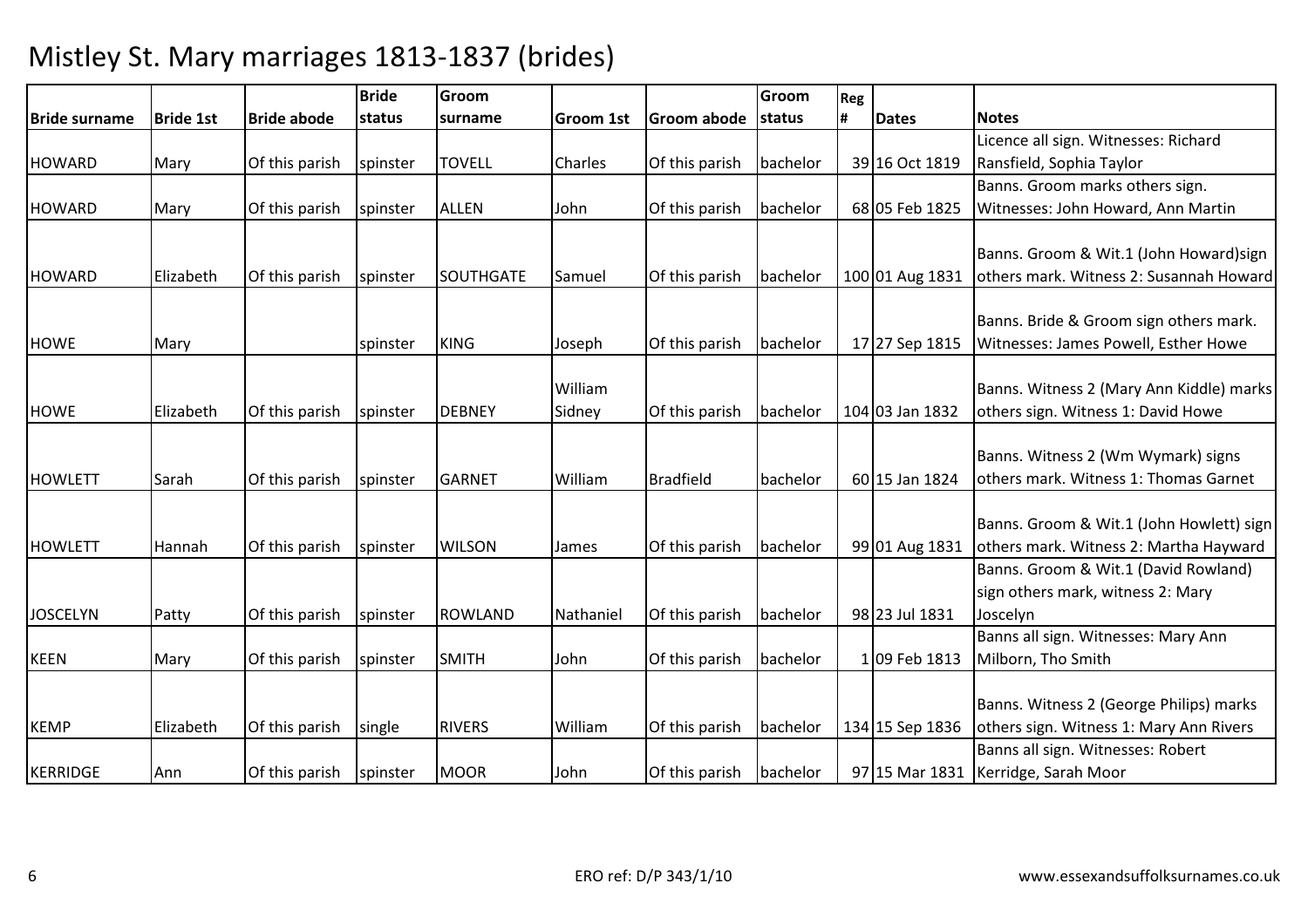|                 |                  |                    | <b>Bride</b> | Groom            |                  |                         | Groom    | Reg |                 |                                          |
|-----------------|------------------|--------------------|--------------|------------------|------------------|-------------------------|----------|-----|-----------------|------------------------------------------|
| Bride surname   | <b>Bride 1st</b> | <b>Bride abode</b> | status       | surname          | <b>Groom 1st</b> | Groom abode             | status   |     | <b>Dates</b>    | <b>Notes</b>                             |
|                 |                  |                    |              |                  |                  |                         |          |     |                 | Licence all sign. Witnesses: Richard     |
| <b>HOWARD</b>   | Mary             | Of this parish     | spinster     | <b>TOVELL</b>    | Charles          | Of this parish          | bachelor |     | 39 16 Oct 1819  | Ransfield, Sophia Taylor                 |
|                 |                  |                    |              |                  |                  |                         |          |     |                 | Banns. Groom marks others sign.          |
| <b>HOWARD</b>   | Mary             | Of this parish     | spinster     | <b>ALLEN</b>     | John             | Of this parish          | bachelor |     | 68 05 Feb 1825  | Witnesses: John Howard, Ann Martin       |
|                 |                  |                    |              |                  |                  |                         |          |     |                 |                                          |
|                 |                  |                    |              |                  |                  |                         |          |     |                 | Banns. Groom & Wit.1 (John Howard)sign   |
| <b>HOWARD</b>   | Elizabeth        | Of this parish     | spinster     | <b>SOUTHGATE</b> | Samuel           | Of this parish          | bachelor |     | 100 01 Aug 1831 | others mark. Witness 2: Susannah Howard  |
|                 |                  |                    |              |                  |                  |                         |          |     |                 |                                          |
|                 |                  |                    |              |                  |                  |                         |          |     |                 | Banns. Bride & Groom sign others mark.   |
| <b>HOWE</b>     | Mary             |                    | spinster     | <b>KING</b>      | Joseph           | Of this parish          | bachelor |     | 17 27 Sep 1815  | Witnesses: James Powell, Esther Howe     |
|                 |                  |                    |              |                  |                  |                         |          |     |                 |                                          |
|                 |                  |                    |              |                  | William          |                         |          |     |                 | Banns. Witness 2 (Mary Ann Kiddle) marks |
| <b>HOWE</b>     | Elizabeth        | Of this parish     | spinster     | <b>DEBNEY</b>    | Sidney           | Of this parish          | bachelor |     | 104 03 Jan 1832 | others sign. Witness 1: David Howe       |
|                 |                  |                    |              |                  |                  |                         |          |     |                 |                                          |
|                 |                  |                    |              |                  |                  |                         |          |     |                 | Banns. Witness 2 (Wm Wymark) signs       |
| <b>HOWLETT</b>  | Sarah            | Of this parish     | spinster     | <b>GARNET</b>    | William          | <b>Bradfield</b>        | bachelor |     | 60 15 Jan 1824  | others mark. Witness 1: Thomas Garnet    |
|                 |                  |                    |              |                  |                  |                         |          |     |                 |                                          |
|                 |                  |                    |              |                  |                  |                         |          |     |                 | Banns. Groom & Wit.1 (John Howlett) sign |
| <b>HOWLETT</b>  | Hannah           | Of this parish     | spinster     | <b>WILSON</b>    | James            | Of this parish          | bachelor |     | 99 01 Aug 1831  | others mark. Witness 2: Martha Hayward   |
|                 |                  |                    |              |                  |                  |                         |          |     |                 | Banns. Groom & Wit.1 (David Rowland)     |
|                 |                  |                    |              |                  |                  |                         |          |     |                 | sign others mark, witness 2: Mary        |
| <b>JOSCELYN</b> | Patty            | Of this parish     | spinster     | <b>ROWLAND</b>   | Nathaniel        | Of this parish          | bachelor |     | 98 23 Jul 1831  | Joscelyn                                 |
|                 |                  |                    |              |                  |                  |                         |          |     |                 | Banns all sign. Witnesses: Mary Ann      |
| <b>KEEN</b>     | Mary             | Of this parish     | spinster     | <b>SMITH</b>     | John             | Of this parish          | bachelor |     | 1 09 Feb 1813   | Milborn, Tho Smith                       |
|                 |                  |                    |              |                  |                  |                         |          |     |                 |                                          |
|                 |                  |                    |              |                  |                  |                         |          |     |                 | Banns. Witness 2 (George Philips) marks  |
| <b>KEMP</b>     | Elizabeth        | Of this parish     | single       | <b>RIVERS</b>    | William          | Of this parish          | bachelor |     | 134 15 Sep 1836 | others sign. Witness 1: Mary Ann Rivers  |
|                 |                  |                    |              |                  |                  |                         |          |     |                 | Banns all sign. Witnesses: Robert        |
| KERRIDGE        | Ann              | Of this parish     | spinster     | <b>MOOR</b>      | John             | Of this parish bachelor |          |     |                 | 97 15 Mar 1831 Kerridge, Sarah Moor      |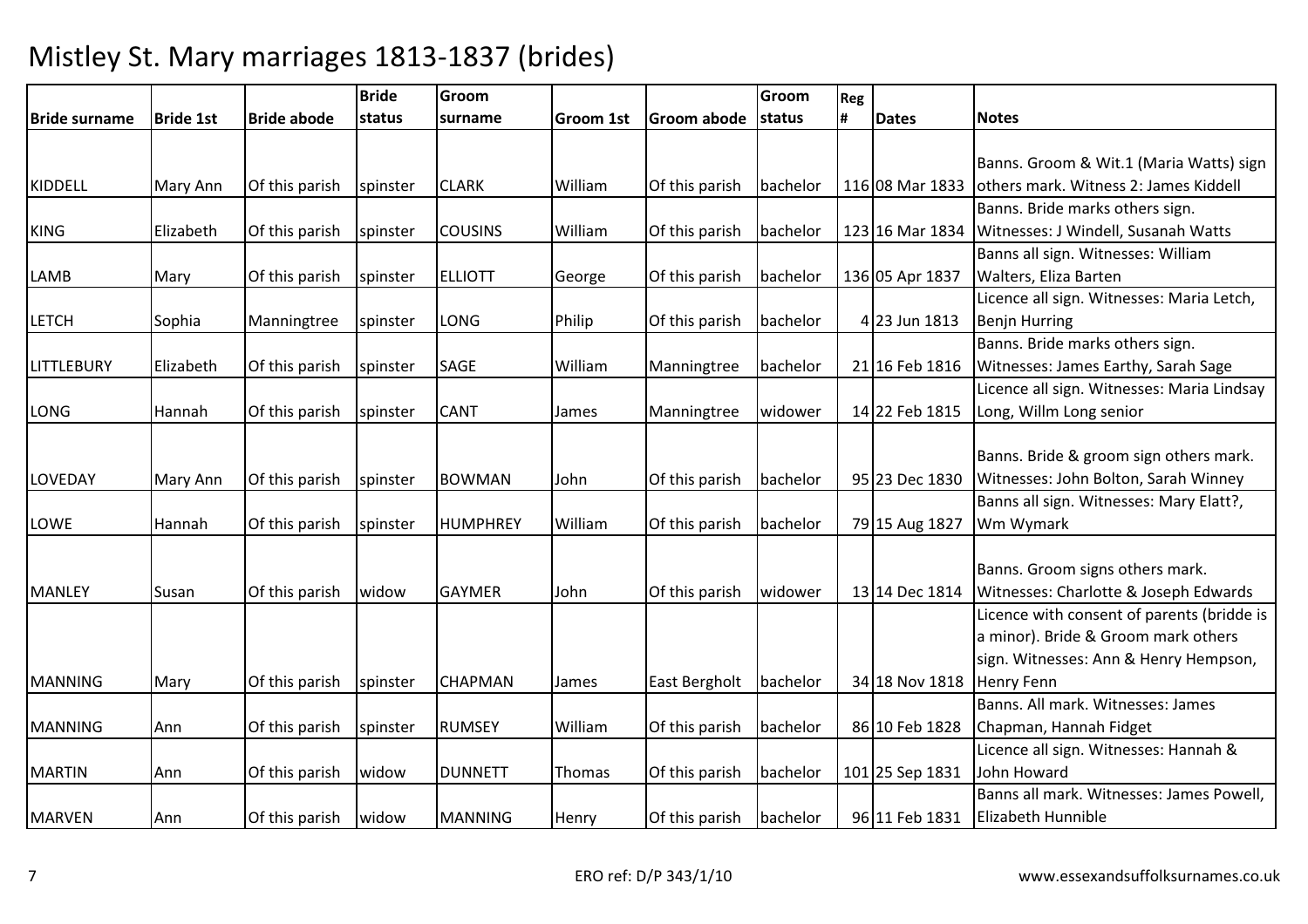|                   |                  |                    | <b>Bride</b> | Groom           |                  |                    | Groom    | Reg |                 |                                            |
|-------------------|------------------|--------------------|--------------|-----------------|------------------|--------------------|----------|-----|-----------------|--------------------------------------------|
| Bride surname     | <b>Bride 1st</b> | <b>Bride abode</b> | status       | surname         | <b>Groom 1st</b> | <b>Groom abode</b> | status   | #   | <b>Dates</b>    | <b>Notes</b>                               |
|                   |                  |                    |              |                 |                  |                    |          |     |                 |                                            |
|                   |                  |                    |              |                 |                  |                    |          |     |                 | Banns. Groom & Wit.1 (Maria Watts) sign    |
| <b>KIDDELL</b>    | <b>Mary Ann</b>  | Of this parish     | spinster     | <b>CLARK</b>    | William          | Of this parish     | bachelor |     | 116 08 Mar 1833 | others mark. Witness 2: James Kiddell      |
|                   |                  |                    |              |                 |                  |                    |          |     |                 | Banns. Bride marks others sign.            |
| <b>KING</b>       | Elizabeth        | Of this parish     | spinster     | <b>COUSINS</b>  | William          | Of this parish     | bachelor |     | 123 16 Mar 1834 | Witnesses: J Windell, Susanah Watts        |
|                   |                  |                    |              |                 |                  |                    |          |     |                 | Banns all sign. Witnesses: William         |
| <b>LAMB</b>       | Mary             | Of this parish     | spinster     | <b>ELLIOTT</b>  | George           | Of this parish     | bachelor |     | 136 05 Apr 1837 | Walters, Eliza Barten                      |
|                   |                  |                    |              |                 |                  |                    |          |     |                 | Licence all sign. Witnesses: Maria Letch,  |
| <b>LETCH</b>      | Sophia           | Manningtree        | spinster     | LONG            | Philip           | Of this parish     | bachelor |     | 4 23 Jun 1813   | <b>Benjn Hurring</b>                       |
|                   |                  |                    |              |                 |                  |                    |          |     |                 | Banns. Bride marks others sign.            |
| <b>LITTLEBURY</b> | Elizabeth        | Of this parish     | spinster     | SAGE            | William          | Manningtree        | bachelor |     | 21 16 Feb 1816  | Witnesses: James Earthy, Sarah Sage        |
|                   |                  |                    |              |                 |                  |                    |          |     |                 | Licence all sign. Witnesses: Maria Lindsay |
| LONG              | Hannah           | Of this parish     | spinster     | <b>CANT</b>     | James            | Manningtree        | widower  |     | 14 22 Feb 1815  | Long, Willm Long senior                    |
|                   |                  |                    |              |                 |                  |                    |          |     |                 |                                            |
|                   |                  |                    |              |                 |                  |                    |          |     |                 | Banns. Bride & groom sign others mark.     |
| LOVEDAY           | Mary Ann         | Of this parish     | spinster     | <b>BOWMAN</b>   | John             | Of this parish     | bachelor |     | 95 23 Dec 1830  | Witnesses: John Bolton, Sarah Winney       |
|                   |                  |                    |              |                 |                  |                    |          |     |                 | Banns all sign. Witnesses: Mary Elatt?,    |
| LOWE              | Hannah           | Of this parish     | spinster     | <b>HUMPHREY</b> | William          | Of this parish     | bachelor |     | 79 15 Aug 1827  | Wm Wymark                                  |
|                   |                  |                    |              |                 |                  |                    |          |     |                 |                                            |
|                   |                  |                    |              |                 |                  |                    |          |     |                 | Banns. Groom signs others mark.            |
| <b>MANLEY</b>     | Susan            | Of this parish     | widow        | <b>GAYMER</b>   | John             | Of this parish     | widower  |     | 13 14 Dec 1814  | Witnesses: Charlotte & Joseph Edwards      |
|                   |                  |                    |              |                 |                  |                    |          |     |                 | Licence with consent of parents (bridde is |
|                   |                  |                    |              |                 |                  |                    |          |     |                 | a minor). Bride & Groom mark others        |
|                   |                  |                    |              |                 |                  |                    |          |     |                 | sign. Witnesses: Ann & Henry Hempson,      |
| <b>MANNING</b>    | Mary             | Of this parish     | spinster     | CHAPMAN         | James            | East Bergholt      | bachelor |     | 34 18 Nov 1818  | <b>Henry Fenn</b>                          |
|                   |                  |                    |              |                 |                  |                    |          |     |                 | Banns, All mark, Witnesses: James          |
| <b>MANNING</b>    | Ann              | Of this parish     | spinster     | <b>RUMSEY</b>   | William          | Of this parish     | bachelor |     | 86 10 Feb 1828  | Chapman, Hannah Fidget                     |
|                   |                  |                    |              |                 |                  |                    |          |     |                 | Licence all sign. Witnesses: Hannah &      |
| <b>MARTIN</b>     | Ann              | Of this parish     | widow        | <b>DUNNETT</b>  | Thomas           | Of this parish     | bachelor |     | 101 25 Sep 1831 | John Howard                                |
|                   |                  |                    |              |                 |                  |                    |          |     |                 | Banns all mark. Witnesses: James Powell,   |
| <b>MARVEN</b>     | Ann              | Of this parish     | widow        | <b>MANNING</b>  | Henry            | Of this parish     | bachelor |     | 96 11 Feb 1831  | <b>Elizabeth Hunnible</b>                  |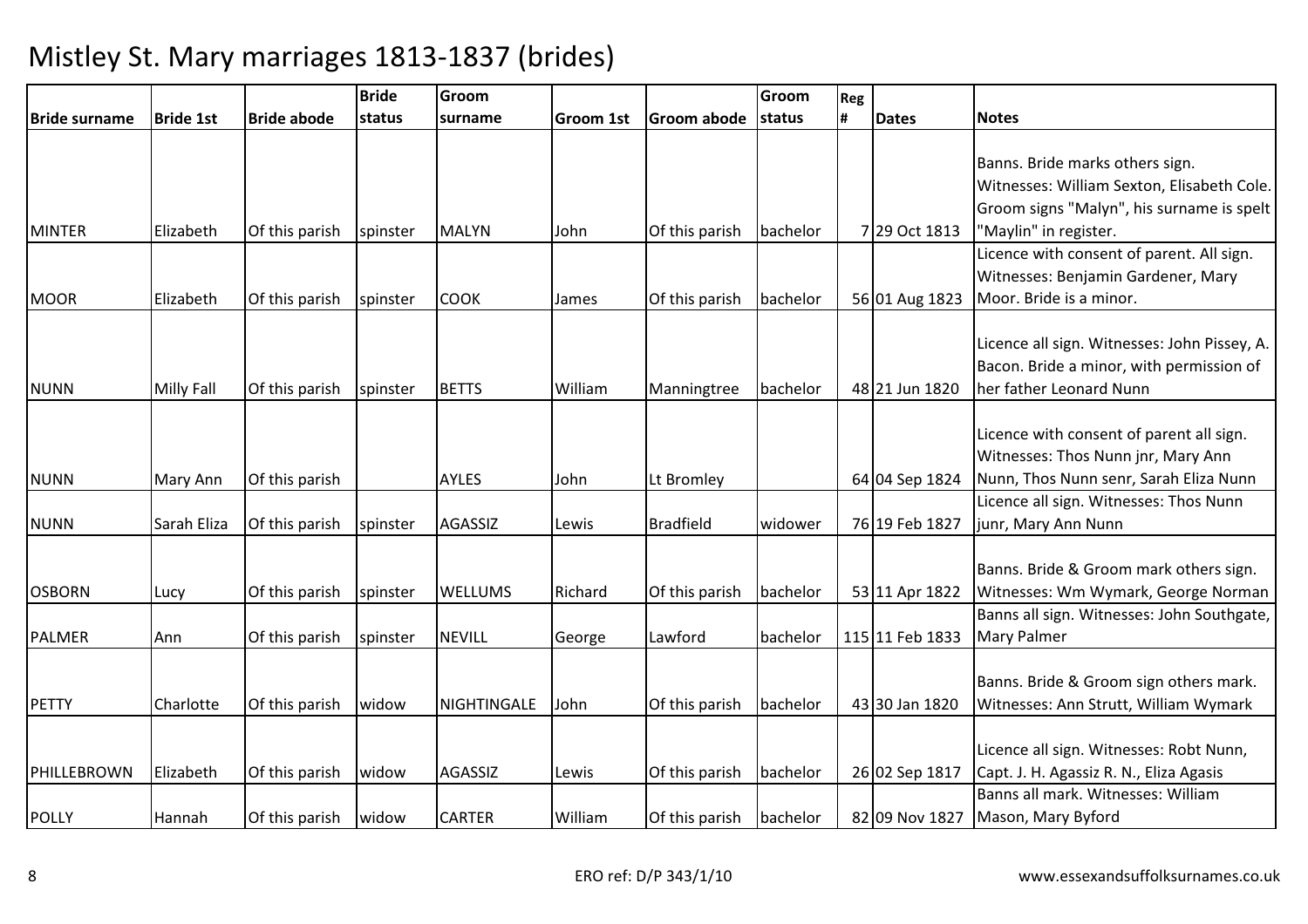|                      |                   |                    | <b>Bride</b>   | Groom              |                  |                  | Groom    | Reg |                 |                                              |
|----------------------|-------------------|--------------------|----------------|--------------------|------------------|------------------|----------|-----|-----------------|----------------------------------------------|
| <b>Bride surname</b> | <b>Bride 1st</b>  | <b>Bride abode</b> | <b>Istatus</b> | surname            | <b>Groom 1st</b> | Groom abode      | status   | l#  | <b>Dates</b>    | <b>Notes</b>                                 |
|                      |                   |                    |                |                    |                  |                  |          |     |                 |                                              |
|                      |                   |                    |                |                    |                  |                  |          |     |                 | Banns. Bride marks others sign.              |
|                      |                   |                    |                |                    |                  |                  |          |     |                 | Witnesses: William Sexton, Elisabeth Cole.   |
|                      |                   |                    |                |                    |                  |                  |          |     |                 | Groom signs "Malyn", his surname is spelt    |
| <b>MINTER</b>        | Elizabeth         | Of this parish     | spinster       | <b>MALYN</b>       | John             | Of this parish   | bachelor |     | 7 29 Oct 1813   | "Maylin" in register.                        |
|                      |                   |                    |                |                    |                  |                  |          |     |                 | Licence with consent of parent. All sign.    |
|                      |                   |                    |                |                    |                  |                  |          |     |                 | Witnesses: Benjamin Gardener, Mary           |
| <b>MOOR</b>          | Elizabeth         | Of this parish     | spinster       | <b>COOK</b>        | James            | Of this parish   | bachelor |     | 56 01 Aug 1823  | Moor. Bride is a minor.                      |
|                      |                   |                    |                |                    |                  |                  |          |     |                 |                                              |
|                      |                   |                    |                |                    |                  |                  |          |     |                 | Licence all sign. Witnesses: John Pissey, A. |
|                      |                   |                    |                |                    |                  |                  |          |     |                 | Bacon. Bride a minor, with permission of     |
| <b>NUNN</b>          | <b>Milly Fall</b> | Of this parish     | spinster       | <b>BETTS</b>       | William          | Manningtree      | bachelor |     | 48 21 Jun 1820  | her father Leonard Nunn                      |
|                      |                   |                    |                |                    |                  |                  |          |     |                 |                                              |
|                      |                   |                    |                |                    |                  |                  |          |     |                 | Licence with consent of parent all sign.     |
|                      |                   |                    |                |                    |                  |                  |          |     |                 | Witnesses: Thos Nunn jnr, Mary Ann           |
| <b>NUNN</b>          | <b>Mary Ann</b>   | Of this parish     |                | <b>AYLES</b>       | John             | Lt Bromley       |          |     | 64 04 Sep 1824  | Nunn, Thos Nunn senr, Sarah Eliza Nunn       |
|                      |                   |                    |                |                    |                  |                  |          |     |                 | Licence all sign. Witnesses: Thos Nunn       |
| <b>NUNN</b>          | Sarah Eliza       | Of this parish     | spinster       | <b>AGASSIZ</b>     | Lewis            | <b>Bradfield</b> | widower  |     | 76 19 Feb 1827  | junr, Mary Ann Nunn                          |
|                      |                   |                    |                |                    |                  |                  |          |     |                 |                                              |
|                      |                   |                    |                |                    |                  |                  |          |     |                 | Banns. Bride & Groom mark others sign.       |
| <b>OSBORN</b>        | Lucy              | Of this parish     | spinster       | <b>WELLUMS</b>     | Richard          | Of this parish   | bachelor |     | 53 11 Apr 1822  | Witnesses: Wm Wymark, George Norman          |
|                      |                   |                    |                |                    |                  |                  |          |     |                 | Banns all sign. Witnesses: John Southgate,   |
| PALMER               | Ann               | Of this parish     | spinster       | <b>NEVILL</b>      | George           | Lawford          | bachelor |     | 115 11 Feb 1833 | <b>Mary Palmer</b>                           |
|                      |                   |                    |                |                    |                  |                  |          |     |                 |                                              |
|                      |                   |                    |                |                    |                  |                  |          |     |                 | Banns. Bride & Groom sign others mark.       |
| <b>PETTY</b>         | Charlotte         | Of this parish     | widow          | <b>NIGHTINGALE</b> | John             | Of this parish   | bachelor |     | 43 30 Jan 1820  | Witnesses: Ann Strutt, William Wymark        |
|                      |                   |                    |                |                    |                  |                  |          |     |                 |                                              |
|                      |                   |                    |                |                    |                  |                  |          |     |                 | Licence all sign. Witnesses: Robt Nunn,      |
| PHILLEBROWN          | Elizabeth         | Of this parish     | widow          | <b>AGASSIZ</b>     | Lewis            | Of this parish   | bachelor |     | 26 02 Sep 1817  | Capt. J. H. Agassiz R. N., Eliza Agasis      |
|                      |                   |                    |                |                    |                  |                  |          |     |                 | Banns all mark. Witnesses: William           |
| <b>POLLY</b>         | Hannah            | Of this parish     | widow          | <b>CARTER</b>      | William          | Of this parish   | bachelor |     | 82 09 Nov 1827  | Mason, Mary Byford                           |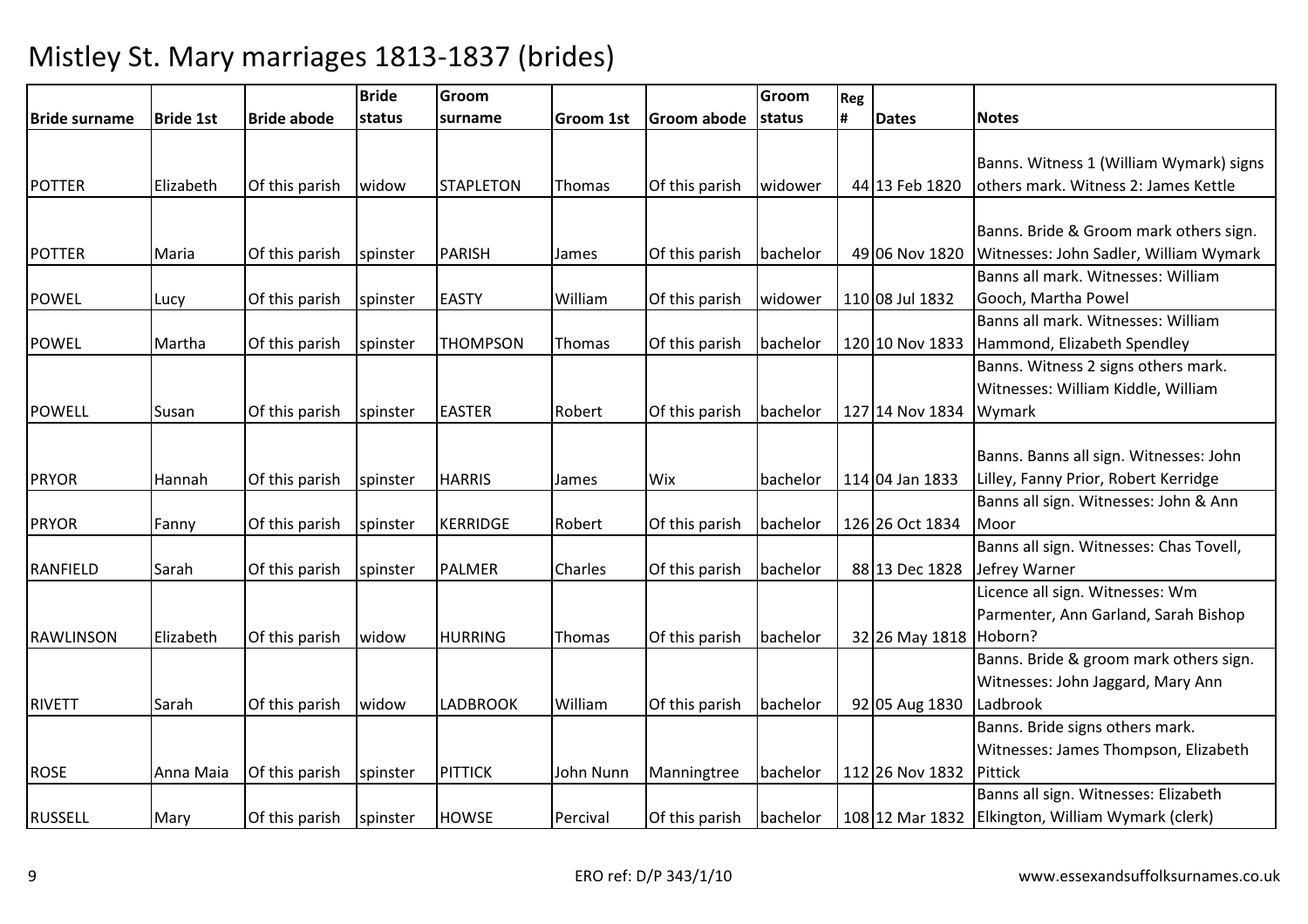|                  |                  |                    | <b>Bride</b> | Groom            |           |                | Groom    | Reg |                 |                                                                                           |
|------------------|------------------|--------------------|--------------|------------------|-----------|----------------|----------|-----|-----------------|-------------------------------------------------------------------------------------------|
| Bride surname    | <b>Bride 1st</b> | <b>Bride abode</b> | status       | surname          | Groom 1st | Groom abode    | status   | #   | <b>Dates</b>    | <b>Notes</b>                                                                              |
| <b>POTTER</b>    | Elizabeth        | Of this parish     | widow        | <b>STAPLETON</b> | Thomas    | Of this parish | widower  |     | 44 13 Feb 1820  | Banns. Witness 1 (William Wymark) signs<br>others mark. Witness 2: James Kettle           |
| <b>POTTER</b>    | Maria            | Of this parish     | spinster     | <b>PARISH</b>    | James     | Of this parish | bachelor |     | 49 06 Nov 1820  | Banns. Bride & Groom mark others sign.<br>Witnesses: John Sadler, William Wymark          |
| <b>POWEL</b>     | Lucy             | Of this parish     | spinster     | <b>EASTY</b>     | William   | Of this parish | widower  |     | 110 08 Jul 1832 | Banns all mark. Witnesses: William<br>Gooch, Martha Powel                                 |
| <b>POWEL</b>     | Martha           | Of this parish     | spinster     | <b>THOMPSON</b>  | Thomas    | Of this parish | bachelor |     | 120 10 Nov 1833 | Banns all mark. Witnesses: William<br>Hammond, Elizabeth Spendley                         |
| <b>POWELL</b>    | Susan            | Of this parish     | spinster     | <b>EASTER</b>    | Robert    | Of this parish | bachelor |     | 127 14 Nov 1834 | Banns. Witness 2 signs others mark.<br>Witnesses: William Kiddle, William<br>Wymark       |
| <b>PRYOR</b>     | Hannah           | Of this parish     | spinster     | <b>HARRIS</b>    | James     | Wix            | bachelor |     | 114 04 Jan 1833 | Banns. Banns all sign. Witnesses: John<br>Lilley, Fanny Prior, Robert Kerridge            |
| <b>PRYOR</b>     | Fanny            | Of this parish     | spinster     | <b>KERRIDGE</b>  | Robert    | Of this parish | bachelor |     | 126 26 Oct 1834 | Banns all sign. Witnesses: John & Ann<br>Moor                                             |
| <b>RANFIELD</b>  | Sarah            | Of this parish     | spinster     | <b>PALMER</b>    | Charles   | Of this parish | bachelor |     | 88 13 Dec 1828  | Banns all sign. Witnesses: Chas Tovell,<br>Jefrey Warner                                  |
| <b>RAWLINSON</b> | Elizabeth        | Of this parish     | widow        | <b>HURRING</b>   | Thomas    | Of this parish | bachelor |     | 32 26 May 1818  | Licence all sign. Witnesses: Wm<br>Parmenter, Ann Garland, Sarah Bishop<br>Hoborn?        |
| <b>RIVETT</b>    | Sarah            | Of this parish     | widow        | <b>LADBROOK</b>  | William   | Of this parish | bachelor |     | 92 05 Aug 1830  | Banns. Bride & groom mark others sign.<br>Witnesses: John Jaggard, Mary Ann<br>Ladbrook   |
| <b>ROSE</b>      | Anna Maia        | Of this parish     | spinster     | <b>PITTICK</b>   | John Nunn | Manningtree    | bachelor |     | 112 26 Nov 1832 | Banns. Bride signs others mark.<br>Witnesses: James Thompson, Elizabeth<br>Pittick        |
| <b>RUSSELL</b>   | Mary             | Of this parish     | spinster     | <b>HOWSE</b>     | Percival  | Of this parish | bachelor |     |                 | Banns all sign. Witnesses: Elizabeth<br>108 12 Mar 1832 Elkington, William Wymark (clerk) |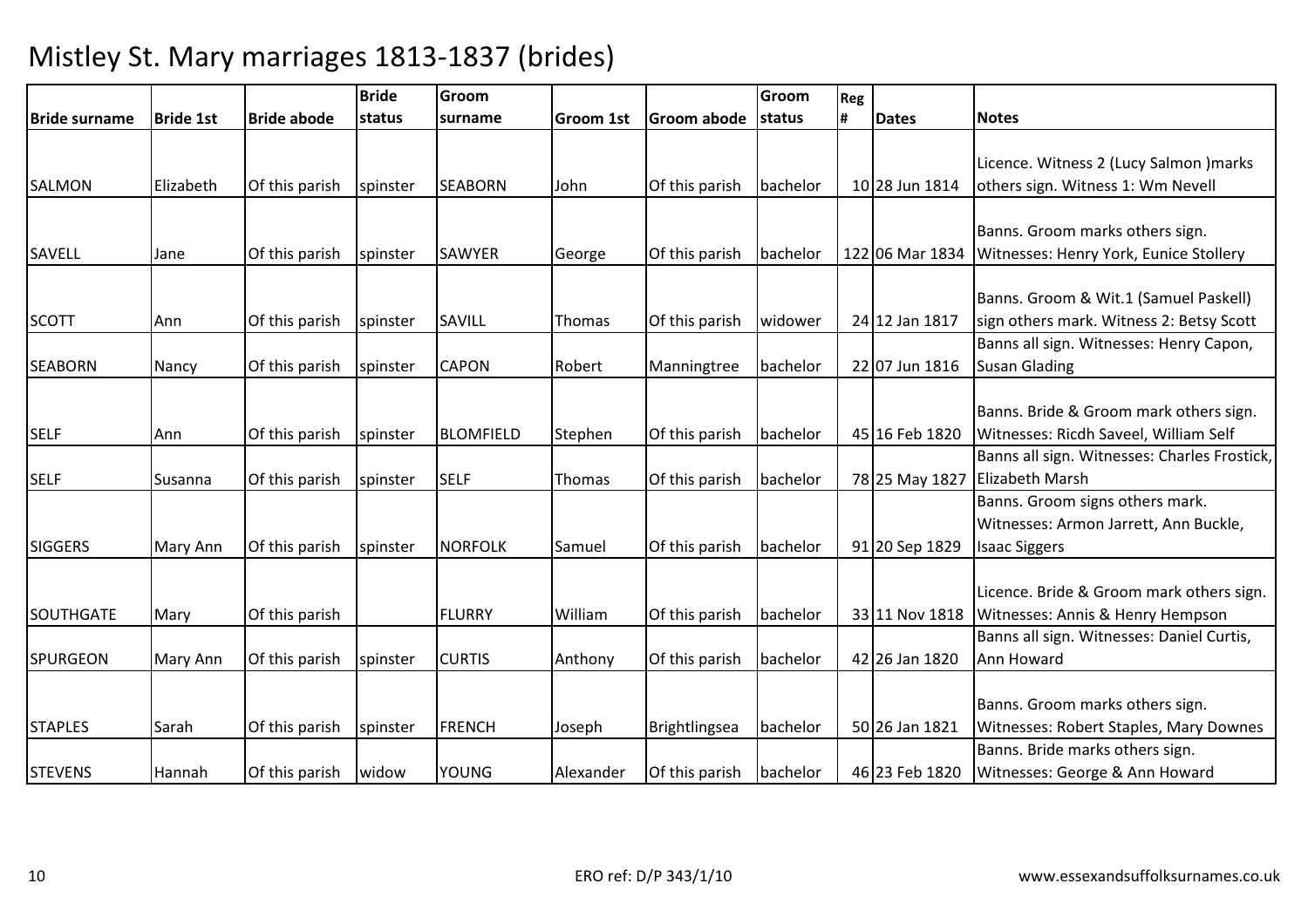|                  |                  |                    | <b>Bride</b> | Groom            |                  |                    | Groom    | Reg |                 |                                                                                                  |
|------------------|------------------|--------------------|--------------|------------------|------------------|--------------------|----------|-----|-----------------|--------------------------------------------------------------------------------------------------|
| lBride surname   | <b>Bride 1st</b> | <b>Bride abode</b> | status       | surname          | <b>Groom 1st</b> | <b>Groom abode</b> | status   | #   | <b>Dates</b>    | <b>Notes</b>                                                                                     |
|                  |                  |                    |              |                  |                  |                    |          |     |                 | Licence. Witness 2 (Lucy Salmon ) marks                                                          |
| <b>SALMON</b>    | Elizabeth        | Of this parish     | spinster     | <b>SEABORN</b>   | John             | Of this parish     | bachelor |     | 10 28 Jun 1814  | others sign. Witness 1: Wm Nevell                                                                |
| SAVELL           | Jane             | Of this parish     | spinster     | SAWYER           | George           | Of this parish     | bachelor |     | 122 06 Mar 1834 | Banns. Groom marks others sign.<br>Witnesses: Henry York, Eunice Stollery                        |
| <b>SCOTT</b>     | Ann              | Of this parish     | spinster     | SAVILL           | Thomas           | Of this parish     | widower  |     | 24 12 Jan 1817  | Banns. Groom & Wit.1 (Samuel Paskell)<br>sign others mark. Witness 2: Betsy Scott                |
| <b>SEABORN</b>   | Nancy            | Of this parish     | spinster     | <b>CAPON</b>     | Robert           | Manningtree        | bachelor |     | 22 07 Jun 1816  | Banns all sign. Witnesses: Henry Capon,<br><b>Susan Glading</b>                                  |
| <b>SELF</b>      | Ann              | Of this parish     | spinster     | <b>BLOMFIELD</b> | Stephen          | Of this parish     | bachelor |     | 45 16 Feb 1820  | Banns. Bride & Groom mark others sign.<br>Witnesses: Ricdh Saveel, William Self                  |
| <b>SELF</b>      | Susanna          | Of this parish     | spinster     | <b>SELF</b>      | Thomas           | Of this parish     | bachelor |     | 78 25 May 1827  | Banns all sign. Witnesses: Charles Frostick,<br><b>Elizabeth Marsh</b>                           |
| <b>SIGGERS</b>   | <b>Mary Ann</b>  | Of this parish     | spinster     | <b>NORFOLK</b>   | Samuel           | Of this parish     | bachelor |     | 91 20 Sep 1829  | Banns. Groom signs others mark.<br>Witnesses: Armon Jarrett, Ann Buckle,<br><b>Isaac Siggers</b> |
| <b>SOUTHGATE</b> | Mary             | Of this parish     |              | <b>FLURRY</b>    | William          | Of this parish     | bachelor |     | 33 11 Nov 1818  | Licence. Bride & Groom mark others sign.<br>Witnesses: Annis & Henry Hempson                     |
| <b>SPURGEON</b>  | <b>Mary Ann</b>  | Of this parish     | spinster     | <b>CURTIS</b>    | Anthony          | Of this parish     | bachelor |     | 42 26 Jan 1820  | Banns all sign. Witnesses: Daniel Curtis,<br>Ann Howard                                          |
| <b>STAPLES</b>   | Sarah            | Of this parish     | spinster     | <b>FRENCH</b>    | Joseph           | Brightlingsea      | bachelor |     | 50 26 Jan 1821  | Banns. Groom marks others sign.<br>Witnesses: Robert Staples, Mary Downes                        |
| <b>STEVENS</b>   | Hannah           | Of this parish     | widow        | <b>YOUNG</b>     | Alexander        | Of this parish     | bachelor |     | 46 23 Feb 1820  | Banns. Bride marks others sign.<br>Witnesses: George & Ann Howard                                |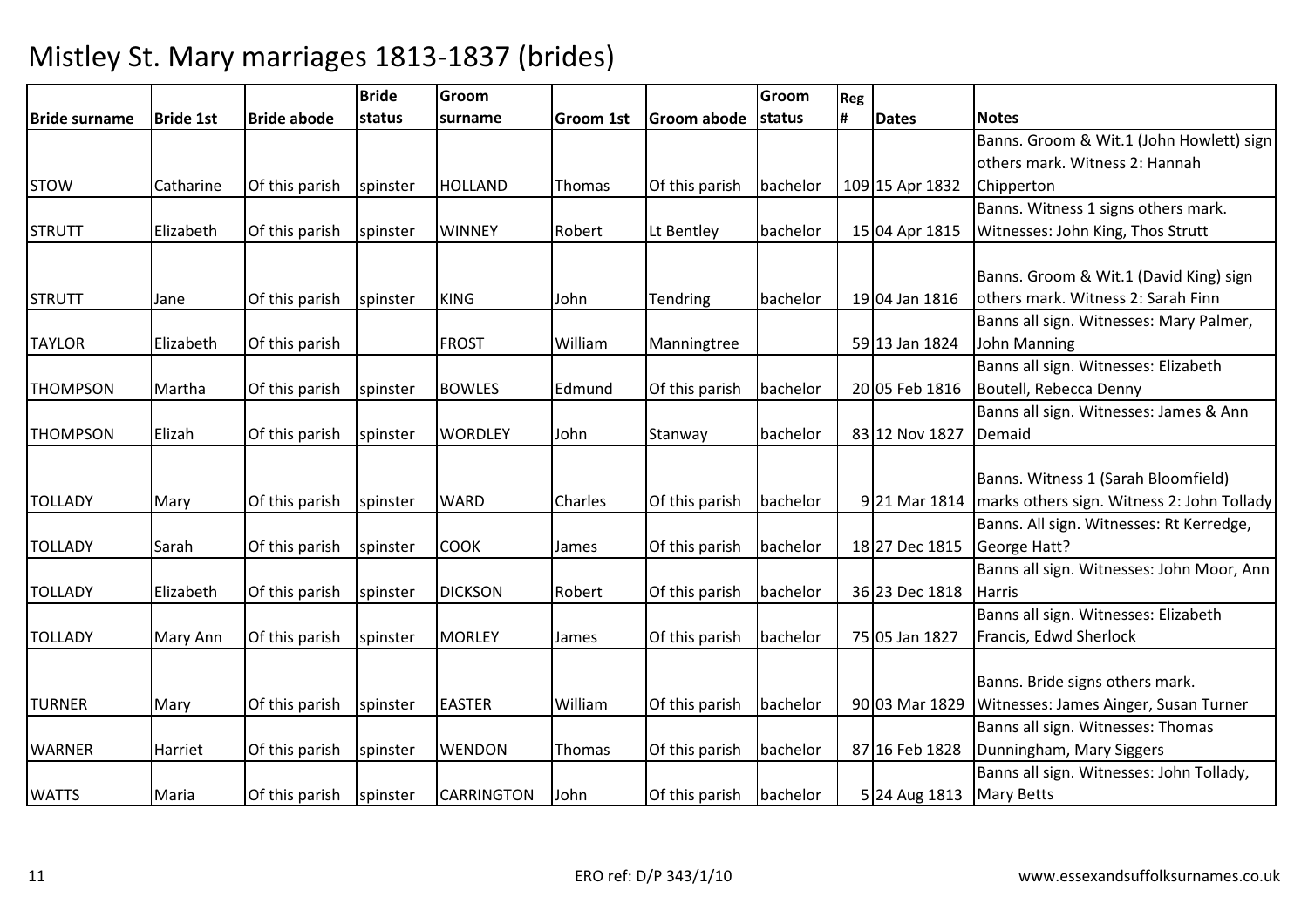|                 |                  |                    | <b>Bride</b> | Groom          |                  |                 | Groom    | Reg |                 |                                            |
|-----------------|------------------|--------------------|--------------|----------------|------------------|-----------------|----------|-----|-----------------|--------------------------------------------|
| Bride surname   | <b>Bride 1st</b> | <b>Bride abode</b> | status       | surname        | <b>Groom 1st</b> | Groom abode     | status   | #   | <b>Dates</b>    | <b>Notes</b>                               |
|                 |                  |                    |              |                |                  |                 |          |     |                 | Banns. Groom & Wit.1 (John Howlett) sign   |
|                 |                  |                    |              |                |                  |                 |          |     |                 | others mark. Witness 2: Hannah             |
| <b>STOW</b>     | Catharine        | Of this parish     | spinster     | <b>HOLLAND</b> | Thomas           | Of this parish  | bachelor |     | 109 15 Apr 1832 | Chipperton                                 |
|                 |                  |                    |              |                |                  |                 |          |     |                 | Banns. Witness 1 signs others mark.        |
| <b>STRUTT</b>   | Elizabeth        | Of this parish     | spinster     | <b>WINNEY</b>  | Robert           | Lt Bentley      | bachelor |     | 15 04 Apr 1815  | Witnesses: John King, Thos Strutt          |
|                 |                  |                    |              |                |                  |                 |          |     |                 |                                            |
|                 |                  |                    |              |                |                  |                 |          |     |                 | Banns. Groom & Wit.1 (David King) sign     |
| <b>STRUTT</b>   | Jane             | Of this parish     | spinster     | <b>KING</b>    | John             | <b>Tendring</b> | bachelor |     | 19 04 Jan 1816  | others mark. Witness 2: Sarah Finn         |
|                 |                  |                    |              |                |                  |                 |          |     |                 | Banns all sign. Witnesses: Mary Palmer,    |
| <b>TAYLOR</b>   | Elizabeth        | Of this parish     |              | <b>FROST</b>   | William          | Manningtree     |          |     | 59 13 Jan 1824  | John Manning                               |
|                 |                  |                    |              |                |                  |                 |          |     |                 | Banns all sign. Witnesses: Elizabeth       |
| <b>THOMPSON</b> | Martha           | Of this parish     | spinster     | <b>BOWLES</b>  | Edmund           | Of this parish  | bachelor |     | 20 05 Feb 1816  | Boutell, Rebecca Denny                     |
|                 |                  |                    |              |                |                  |                 |          |     |                 | Banns all sign. Witnesses: James & Ann     |
| <b>THOMPSON</b> | Elizah           | Of this parish     | spinster     | <b>WORDLEY</b> | John             | Stanway         | bachelor |     | 83 12 Nov 1827  | Demaid                                     |
|                 |                  |                    |              |                |                  |                 |          |     |                 |                                            |
|                 |                  |                    |              |                |                  |                 |          |     |                 | Banns. Witness 1 (Sarah Bloomfield)        |
| <b>TOLLADY</b>  | Mary             | Of this parish     | spinster     | <b>WARD</b>    | Charles          | Of this parish  | bachelor |     | 9 21 Mar 1814   | marks others sign. Witness 2: John Tollady |
|                 |                  |                    |              |                |                  |                 |          |     |                 | Banns. All sign. Witnesses: Rt Kerredge,   |
| <b>TOLLADY</b>  | Sarah            | Of this parish     | spinster     | <b>COOK</b>    | James            | Of this parish  | bachelor |     | 18 27 Dec 1815  | George Hatt?                               |
|                 |                  |                    |              |                |                  |                 |          |     |                 | Banns all sign. Witnesses: John Moor, Ann  |
| <b>TOLLADY</b>  | Elizabeth        | Of this parish     | spinster     | <b>DICKSON</b> | Robert           | Of this parish  | bachelor |     | 36 23 Dec 1818  | <b>Harris</b>                              |
|                 |                  |                    |              |                |                  |                 |          |     |                 | Banns all sign. Witnesses: Elizabeth       |
| <b>TOLLADY</b>  | <b>Mary Ann</b>  | Of this parish     | spinster     | <b>MORLEY</b>  | James            | Of this parish  | bachelor |     | 75 05 Jan 1827  | Francis, Edwd Sherlock                     |
|                 |                  |                    |              |                |                  |                 |          |     |                 |                                            |
|                 |                  |                    |              |                |                  |                 |          |     |                 | Banns. Bride signs others mark.            |
| <b>TURNER</b>   | Mary             | Of this parish     | spinster     | <b>EASTER</b>  | William          | Of this parish  | bachelor |     | 90 03 Mar 1829  | Witnesses: James Ainger, Susan Turner      |
|                 |                  |                    |              |                |                  |                 |          |     |                 | Banns all sign. Witnesses: Thomas          |
| <b>WARNER</b>   | Harriet          | Of this parish     | spinster     | <b>WENDON</b>  | Thomas           | Of this parish  | bachelor |     | 87 16 Feb 1828  | Dunningham, Mary Siggers                   |
|                 |                  |                    |              |                |                  |                 |          |     |                 | Banns all sign. Witnesses: John Tollady,   |
| <b>WATTS</b>    | Maria            | Of this parish     | spinster     | CARRINGTON     | John             | Of this parish  | bachelor |     | 5 24 Aug 1813   | <b>Mary Betts</b>                          |